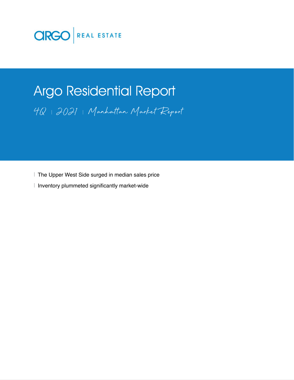

# Argo Residential Report 4Q 2021 Manhattan Market Report

The Upper West Side surged in median sales price

I Inventory plummeted significantly market-wide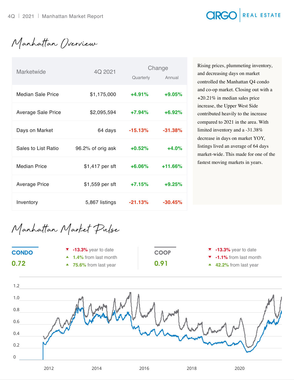### **CIRGO** REAL ESTATE

Manhattan Overview

| Marketwide           | 4Q 2021           | Change    |            |  |
|----------------------|-------------------|-----------|------------|--|
|                      |                   | Quarterly | Annual     |  |
| Median Sale Price    | \$1,175,000       | $+4.91%$  | $+9.05%$   |  |
| Average Sale Price   | \$2,095,594       | $+7.94\%$ | $+6.92%$   |  |
| Days on Market       | 64 days           | $-15.13%$ | $-31.38\%$ |  |
| Sales to List Ratio  | 96.2% of orig ask | $+0.52%$  | $+4.0%$    |  |
| <b>Median Price</b>  | \$1,417 per sft   | $+6.06\%$ | $+11.66%$  |  |
| <b>Average Price</b> | \$1,559 per sft   | $+7.15%$  | $+9.25%$   |  |
| Inventory            | 5,867 listings    | $-21.13%$ | $-30.45%$  |  |

Rising prices, plummeting inventory, and decreasing days on market controlled the Manhattan Q4 condo and co-op market. Closing out with a +20.21% in median sales price increase, the Upper West Side contributed heavily to the increase compared to 2021 in the area. With limited inventory and a -31.38% decrease in days on market YOY, listings lived an average of 64 days market-wide. This made for one of the fastest moving markets in years.

Manhattan Market Pulse

| <b>CONDO</b> | $\blacktriangledown$ -13.3% year to date | <b>COOP</b> | $\blacktriangledown$ -13.3% year to date   |
|--------------|------------------------------------------|-------------|--------------------------------------------|
|              | $\blacktriangle$ 1.4% from last month    |             | $\blacktriangledown$ -1.1% from last month |
| 0.72         | $\blacktriangle$ 75.6% from last year    | 0.91        | ▲ 42.2% from last year                     |

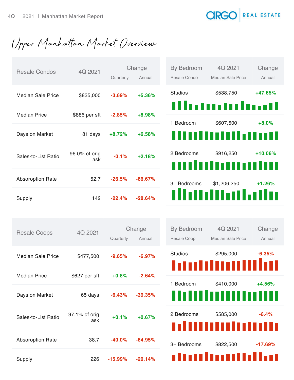#### **CIRGO** REAL ESTATE

Upper Manhattan Market Overview

| <b>Resale Condos</b>     | 4Q 2021              | Quarterly | Change<br>Annual | By Bedroom<br>Resale Condo | 4Q 2021<br>Median Sale Price    | Change<br>Annual |
|--------------------------|----------------------|-----------|------------------|----------------------------|---------------------------------|------------------|
| <b>Median Sale Price</b> | \$835,000            | $-3.69%$  | $+5.36%$         | <b>Studios</b>             | \$538,750                       | +47.65%          |
| <b>Median Price</b>      | \$886 per sft        | $-2.85%$  | +8.98%           | 1 Bedroom                  | tllutoutoloott<br>\$607,500     | $+8.0%$          |
| Days on Market           | 81 days              | $+8.72%$  | $+6.58%$         |                            | ,,,,,,,,,,,,,,,                 |                  |
| Sales-to-List Ratio      | 96.0% of orig<br>ask | $-0.1%$   | $+2.18%$         | 2 Bedrooms                 | \$916,250<br>,,,,,,,,,,,,,,,,,, | $+10.06%$        |
| <b>Absoroption Rate</b>  | 52.7                 | $-26.5%$  | $-66.67%$        | 3+ Bedrooms                | \$1,206,250                     | $+1.26%$         |
| Supply                   | 142                  | $-22.4%$  | $-28.64%$        |                            | dhuulliniiniit                  |                  |

| <b>Resale Coops</b>     | 4Q 2021       | Change     |            |  |
|-------------------------|---------------|------------|------------|--|
|                         |               | Quarterly  | Annual     |  |
| Median Sale Price       | \$477,500     | $-9.65\%$  | $-6.97%$   |  |
|                         |               |            |            |  |
| Median Price            | \$627 per sft | $+0.8%$    | $-2.64%$   |  |
|                         |               |            |            |  |
| Days on Market          | 65 days       | $-6.43%$   | $-39.35\%$ |  |
|                         |               |            |            |  |
|                         | 97.1% of orig |            |            |  |
| Sales-to-List Ratio     | ask           | $+0.1%$    | $+0.67%$   |  |
|                         | 38.7          | $-40.0\%$  | $-64.95%$  |  |
| <b>Absoroption Rate</b> |               |            |            |  |
| Supply                  | 226           | $-15.99\%$ | $-20.14%$  |  |
|                         |               |            |            |  |

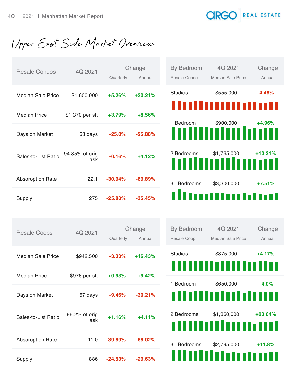## **CIRGO** REAL ESTATE

Upper East Side Market Overview

| <b>Resale Condos</b>     | 4Q 2021               | Quarterly | Change<br>Annual | By Bedroom<br>Resale Condo | 4Q 2021<br>Median Sale Price        | Change<br>Annual |
|--------------------------|-----------------------|-----------|------------------|----------------------------|-------------------------------------|------------------|
| <b>Median Sale Price</b> | \$1,600,000           | $+5.26%$  | $+20.21%$        | <b>Studios</b>             | \$555,000                           | $-4.48%$         |
| <b>Median Price</b>      | \$1,370 per sft       | $+3.79%$  | $+8.56%$         | 1 Bedroom                  | ,,,,,,,,,,,,,,,,,,,<br>\$900,000    | +4.96%           |
| Days on Market           | 63 days               | $-25.0%$  | $-25.88%$        |                            | 11111111111111111111111             |                  |
| Sales-to-List Ratio      | 94.85% of orig<br>ask | $-0.16%$  | $+4.12%$         | 2 Bedrooms                 | \$1,765,000<br>,,,,,,,,,,,,,,,,,,,, | $+10.31%$        |
| <b>Absoroption Rate</b>  | 22.1                  | $-30.94%$ | $-69.89%$        | 3+ Bedrooms                | \$3,300,000                         | $+7.51%$         |
| Supply                   | 275                   | $-25.88%$ | $-35.45%$        |                            | Munduntan                           |                  |

| <b>Resale Coops</b>     | 4Q 2021              | Quarterly  | Change<br>Annual |
|-------------------------|----------------------|------------|------------------|
| Median Sale Price       | \$942,500            | $-3.33\%$  | $+16.43%$        |
| Median Price            | \$976 per sft        | $+0.93%$   | $+9.42%$         |
| Days on Market          | 67 days              | $-9.46\%$  | $-30.21%$        |
| Sales-to-List Ratio     | 96.2% of orig<br>ask | $+1.16%$   | $+4.11%$         |
| <b>Absoroption Rate</b> | 11.0                 | $-39.89\%$ | $-68.02\%$       |
| Supply                  | 886                  | $-24.53%$  | $-29.63%$        |

| <b>By Bedroom</b> | 4Q 2021           | Change    |
|-------------------|-------------------|-----------|
| Resale Coop       | Median Sale Price | Annual    |
| Studios           | \$375,000         | $+4.17%$  |
|                   | ,,,,,,,,,,,,,,,,, |           |
| 1 Bedroom         | \$650,000         | $+4.0%$   |
|                   | ,,,,,,,,,,,,,,,,, |           |
| 2 Bedrooms        | \$1,360,000       | $+23.64%$ |
|                   | ,,,,,,,,,,,,,,,,, |           |
| 3+ Bedrooms       | \$2,795,000       | $+11.8%$  |
|                   | WWW.              |           |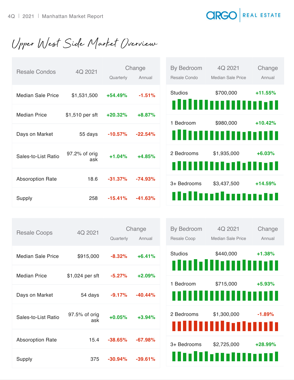#### **CIRG** REAL ESTATE

Upper West Side Market Overview

| <b>Resale Condos</b>     | 4Q 2021              | Quarterly  | Change<br>Annual | By Bedroom<br>Resale Condo | 4Q 2021<br><b>Median Sale Price</b> | Change<br>Annual |
|--------------------------|----------------------|------------|------------------|----------------------------|-------------------------------------|------------------|
| <b>Median Sale Price</b> | \$1,531,500          | $+54.49%$  | $-1.51%$         | <b>Studios</b>             | \$700,000<br>,,,,,,,,,,,,,,,,,,,,,  | $+11.55%$        |
| <b>Median Price</b>      | \$1,510 per sft      | $+20.32%$  | $+8.87%$         | 1 Bedroom                  | \$980,000                           | $+10.42%$        |
| Days on Market           | 55 days              | $-10.57%$  | $-22.54%$        |                            | ,,,,,,,,,,,,,,,,,,                  |                  |
| Sales-to-List Ratio      | 97.2% of orig<br>ask | $+1.04%$   | $+4.85%$         | 2 Bedrooms                 | \$1,935,000<br>,,,,,,,,,,,,,,,,,,,  | $+6.03%$         |
| <b>Absoroption Rate</b>  | 18.6                 | $-31.37\%$ | $-74.93%$        | 3+ Bedrooms                | \$3,437,500                         | $+14.59%$        |
| Supply                   | 258                  | $-15.41%$  | $-41.63%$        |                            | ,,,,,,,,,,,,,,,,,,                  |                  |

| <b>Resale Coops</b>     | 4Q 2021              | Change     |           |  |
|-------------------------|----------------------|------------|-----------|--|
|                         |                      | Quarterly  | Annual    |  |
| Median Sale Price       | \$915,000            | $-8.32%$   | $+6.41%$  |  |
|                         |                      |            |           |  |
| Median Price            | \$1,024 per sft      | $-5.27%$   | $+2.09%$  |  |
| Days on Market          | 54 days              | $-9.17%$   | $-40.44%$ |  |
| Sales-to-List Ratio     | 97.5% of orig<br>ask | $+0.05%$   | $+3.94%$  |  |
| <b>Absoroption Rate</b> | 15.4                 | $-38.65\%$ | $-67.98%$ |  |
| Supply                  | 375                  | $-30.94\%$ | $-39.61%$ |  |

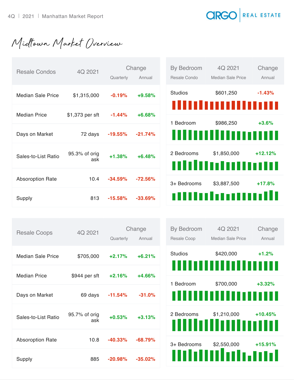**CIRGO** REAL ESTATE

Midtown Market Overview

| <b>Resale Condos</b>     | 4Q 2021              | Quarterly | Change<br>Annual | By Bedroom<br>Resale Condo | 4Q 2021<br>Median Sale Price          | Change<br>Annual |
|--------------------------|----------------------|-----------|------------------|----------------------------|---------------------------------------|------------------|
| <b>Median Sale Price</b> | \$1,315,000          | $-0.19%$  | $+9.58%$         | <b>Studios</b>             | \$601,250                             | $-1.43%$         |
| <b>Median Price</b>      | \$1,373 per sft      | $-1.44%$  | $+6.68%$         | 1 Bedroom                  | ,,,,,,,,,,,,,,,,,,,<br>\$986,250      | $+3.6%$          |
| Days on Market           | 72 days              | $-19.55%$ | $-21.74%$        |                            | ,,,,,,,,,,,,,,,,,,                    |                  |
| Sales-to-List Ratio      | 95.3% of orig<br>ask | $+1.38%$  | $+6.48%$         | 2 Bedrooms                 | \$1,850,000<br>,,,,,,,,,,,,,,,,,,,,,, | $+12.12%$        |
| <b>Absoroption Rate</b>  | 10.4                 | $-34.59%$ | $-72.56%$        | 3+ Bedrooms                | \$3,887,500                           | $+17.8%$         |
| Supply                   | 813                  | $-15.58%$ | $-33.69%$        |                            | mmmmm                                 |                  |

| <b>Resale Coops</b>     | 4Q 2021              | Quarterly  | Change<br>Annual |
|-------------------------|----------------------|------------|------------------|
|                         |                      |            |                  |
| Median Sale Price       | \$705,000            | $+2.17%$   | $+6.21%$         |
| <b>Median Price</b>     | \$944 per sft        | $+2.16%$   | $+4.66%$         |
| Days on Market          | 69 days              | $-11.54\%$ | $-31.0%$         |
| Sales-to-List Ratio     | 95.7% of orig<br>ask | $+0.53%$   | $+3.13%$         |
| <b>Absoroption Rate</b> | 10.8                 | $-40.33\%$ | $-68.79%$        |
| Supply                  | 885                  | $-20.98%$  | $-35.02\%$       |

| <b>By Bedroom</b><br>Resale Coop | 4Q 2021<br><b>Median Sale Price</b>      | Change<br>Annual |
|----------------------------------|------------------------------------------|------------------|
| <b>Studios</b>                   | \$420,000<br>ININININ                    | $+1.2%$          |
| 1 Bedroom                        | \$700,000<br>,,,,,,,<br>8 D D D          | $+3.32%$         |
| 2 Bedrooms                       | $$1,210,000$ +10.45%<br>IIIIIIIIIIIIIIII |                  |
| 3+ Bedrooms                      | \$2,550,000<br>باسيرر<br>duluk           | $+15.91%$        |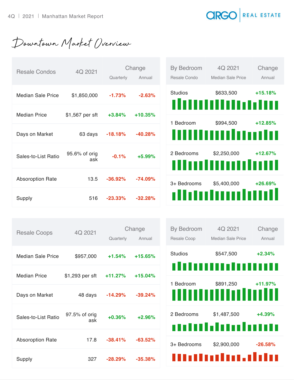**CIRGO** REAL ESTATE

Downtown Market Overview

| <b>Resale Condos</b>     | 4Q 2021              | Change    |           | By Bedroom     | 4Q 2021                           | Change    |
|--------------------------|----------------------|-----------|-----------|----------------|-----------------------------------|-----------|
|                          |                      | Quarterly | Annual    | Resale Condo   | <b>Median Sale Price</b>          | Annual    |
| <b>Median Sale Price</b> | \$1,850,000          | $-1.73%$  | $-2.63%$  | <b>Studios</b> | \$633,500<br>111111111111111111   | $+15.18%$ |
| <b>Median Price</b>      | \$1,567 per sft      | $+3.84%$  | $+10.35%$ |                |                                   |           |
|                          |                      |           |           | 1 Bedroom      | \$994,500                         | $+12.85%$ |
| Days on Market           | 63 days              | $-18.18%$ | $-40.28%$ |                | <u>IIIIIIIIIIIIIIIIIIII</u>       |           |
| Sales-to-List Ratio      | 95.6% of orig<br>ask | $-0.1%$   | $+5.99%$  | 2 Bedrooms     | \$2,250,000<br><u>Multumilini</u> | $+12.67%$ |
| <b>Absoroption Rate</b>  | 13.5                 | $-36.92%$ | $-74.09%$ | 3+ Bedrooms    | \$5,400,000                       | +26.69%   |
| Supply                   | 516                  | $-23.33%$ | $-32.28%$ |                | dhuhumhuni                        |           |

| <b>Resale Coops</b>     | 4Q 2021              | Change<br>Quarterly<br>Annual |            |  |
|-------------------------|----------------------|-------------------------------|------------|--|
|                         |                      |                               |            |  |
| Median Sale Price       | \$957,000            | $+1.54%$                      | $+15.65%$  |  |
| <b>Median Price</b>     | \$1,293 per sft      | $+11.27%$                     | $+15.04%$  |  |
| Days on Market          | 48 days              | $-14.29%$                     | $-39.24\%$ |  |
| Sales-to-List Ratio     | 97.5% of orig<br>ask | $+0.36%$                      | $+2.96%$   |  |
| <b>Absoroption Rate</b> | 17.8                 | $-38.41%$                     | $-63.52\%$ |  |
| Supply                  | 327                  | $-28.29\%$                    | $-35.38%$  |  |

| By Bedroom <b>can</b> | 4Q 2021                                            | Change     |
|-----------------------|----------------------------------------------------|------------|
| Resale Coop           | Median Sale Price                                  | Annual     |
| <b>Studios</b>        | \$547,500                                          | $+2.34\%$  |
| 1                     | umun                                               |            |
|                       | 1 Bedroom \$891,250 +11.97%<br>,,,,,,,,,,,,,,,,,,, |            |
| 2 Bedrooms            | \$1,487,500<br>nndanaha                            | $+4.39%$   |
| 3+ Bedrooms           | \$2,900,000<br>                                    | $-26.58\%$ |